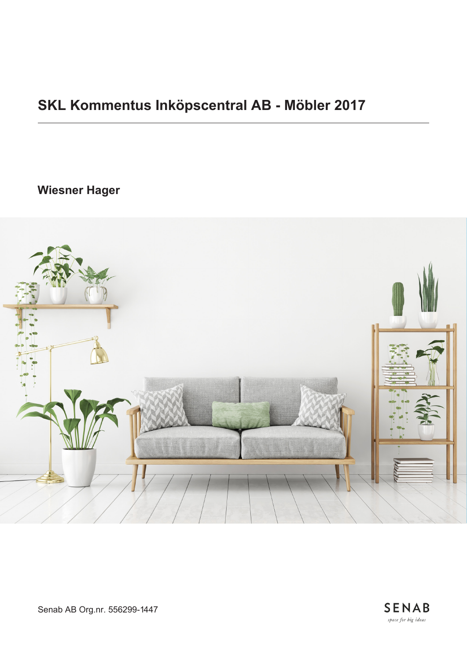# **SKL Kommentus Inköpscentral AB - Möbler 2017**

**Wiesner Hager**



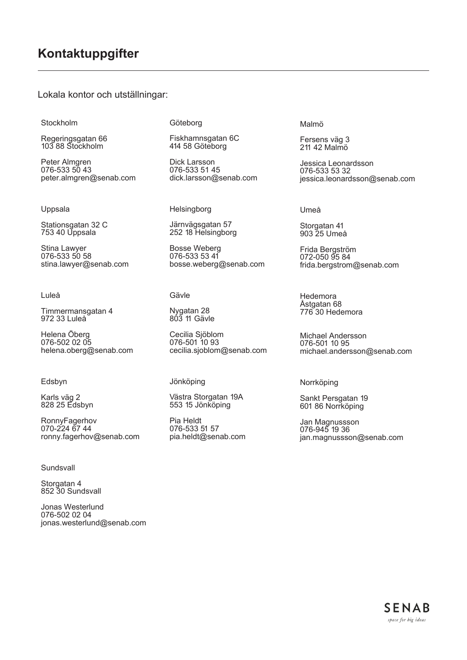Lokala kontor och utställningar:

Stockholm

Regeringsgatan 66 103 88 Stockholm

Peter Almgren 076-533 50 43 peter.almgren@senab.com

#### Uppsala

Stationsgatan 32 C 753 40 Uppsala

Stina Lawyer 076-533 50 58 stina.lawyer@senab.com

#### Luleå

Timmermansgatan 4 972 33 Luleå

Helena Öberg 076-502 02 05 helena.oberg@senab.com

#### Edsbyn

Karls väg 2 828 25 Edsbyn

RonnyFagerhov 070-224 67 44 ronny.fagerhov@senab.com

#### **Sundsvall**

Storgatan 4 852 30 Sundsvall

Jonas Westerlund 076-502 02 04 jonas.westerlund@senab.com Göteborg

Fiskhamnsgatan 6C 414 58 Göteborg

Dick Larsson 076-533 51 45 dick.larsson@senab.com

**Helsingborg** 

Järnvägsgatan 57 252 18 Helsingborg

Bosse Weberg 076-533 53 41 bosse.weberg@senab.com

#### Gävle

Nygatan 28 803 11 Gävle

Cecilia Sjöblom 076-501 10 93 cecilia.sjoblom@senab.com

#### Jönköping

Västra Storgatan 19A 553 15 Jönköping

Pia Heldt 076-533 51 57 pia.heldt@senab.com Malmö

Fersens väg 3 211 42 Malmö

Jessica Leonardsson 076-533 53 32 jessica.leonardsson@senab.com

#### Umeå

Storgatan 41 903 25 Umeå

Frida Bergström 072-050 95 84 frida.bergstrom@senab.com

Hedemora Åstgatan 68 776 30 Hedemora

Michael Andersson 076-501 10 95 michael.andersson@senab.com

#### Norrköping

Sankt Persgatan 19 601 86 Norrköping

Jan Magnussson 076-945 19 36 jan.magnussson@senab.com

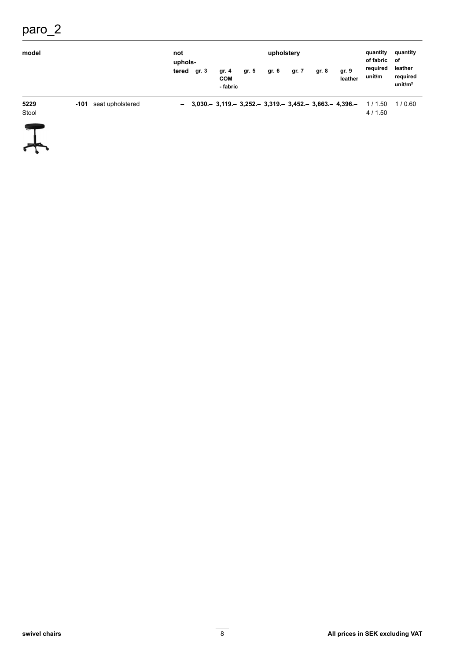## paro\_2

| model         |                          | not                                                                       |                                 |       | upholstery |       | quantity<br>of fabric of | quantity         |                    |                                            |
|---------------|--------------------------|---------------------------------------------------------------------------|---------------------------------|-------|------------|-------|--------------------------|------------------|--------------------|--------------------------------------------|
|               |                          | uphols-<br>tered gr. 3                                                    | gr. 4<br><b>COM</b><br>- fabric | gr. 5 | gr. 6      | gr. 7 | gr. 8                    | gr. 9<br>leather | required<br>unit/m | leather<br>required<br>unit/m <sup>2</sup> |
| 5229<br>Stool | seat upholstered<br>-101 | $-$ 3,030 $-$ 3,119 $-$ 3,252 $-$ 3,319 $-$ 3,452 $-$ 3,663 $-$ 4,396 $-$ |                                 |       |            |       |                          |                  | 1 / 1.50<br>4/1.50 | 1 / 0.60                                   |

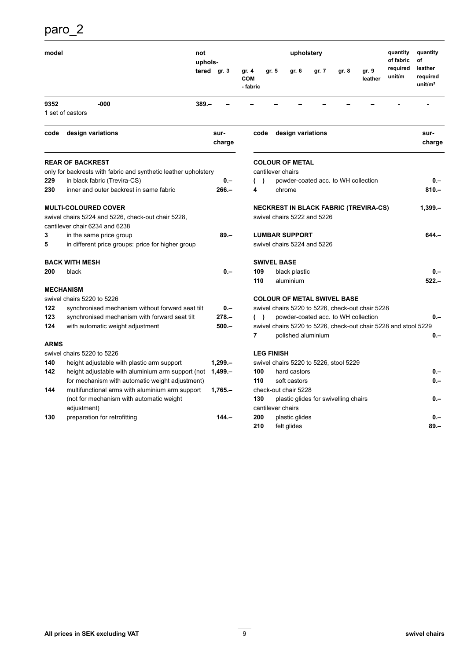### paro\_2

| model                                                                                      |                                                    | not<br>uphols- |                |                                                           |                                                                                                                     | quantity<br>of fabric | quantity<br>οf              |       |                                      |                                                  |                    |                                            |
|--------------------------------------------------------------------------------------------|----------------------------------------------------|----------------|----------------|-----------------------------------------------------------|---------------------------------------------------------------------------------------------------------------------|-----------------------|-----------------------------|-------|--------------------------------------|--------------------------------------------------|--------------------|--------------------------------------------|
|                                                                                            |                                                    |                | tered gr. 3    | gr. 4<br><b>COM</b><br>- fabric                           | gr. 5                                                                                                               |                       | gr. 6                       | gr. 7 | gr. 8                                | gr. 9<br>leather                                 | required<br>unit/m | leather<br>required<br>unit/m <sup>2</sup> |
| 9352                                                                                       | -000                                               | $389 -$        |                |                                                           |                                                                                                                     |                       |                             |       |                                      |                                                  |                    |                                            |
|                                                                                            | 1 set of castors                                   |                |                |                                                           |                                                                                                                     |                       |                             |       |                                      |                                                  |                    |                                            |
| code                                                                                       | design variations                                  |                | sur-<br>charge | code                                                      |                                                                                                                     |                       | design variations           |       |                                      |                                                  |                    | sur-<br>charge                             |
| <b>REAR OF BACKREST</b><br>only for backrests with fabric and synthetic leather upholstery |                                                    |                |                | <b>COLOUR OF METAL</b><br>cantilever chairs               |                                                                                                                     |                       |                             |       |                                      |                                                  |                    |                                            |
| 229                                                                                        | in black fabric (Trevira-CS)                       |                | $0 -$          |                                                           | $\lambda$                                                                                                           |                       |                             |       | powder-coated acc. to WH collection  |                                                  |                    | $0 -$                                      |
| 230                                                                                        | inner and outer backrest in same fabric            |                | $266 -$        | 4                                                         |                                                                                                                     |                       | chrome                      |       |                                      |                                                  |                    | $810 -$                                    |
| <b>MULTI-COLOURED COVER</b>                                                                |                                                    |                |                | <b>NECKREST IN BLACK FABRIC (TREVIRA-CS)</b><br>$1,399 -$ |                                                                                                                     |                       |                             |       |                                      |                                                  |                    |                                            |
|                                                                                            | swivel chairs 5224 and 5226, check-out chair 5228, |                |                |                                                           |                                                                                                                     |                       | swivel chairs 5222 and 5226 |       |                                      |                                                  |                    |                                            |
|                                                                                            | cantilever chair 6234 and 6238                     |                |                |                                                           |                                                                                                                     |                       |                             |       |                                      |                                                  |                    |                                            |
| 3                                                                                          | in the same price group                            |                | $89 -$         |                                                           |                                                                                                                     |                       | <b>LUMBAR SUPPORT</b>       |       |                                      |                                                  |                    | $644 -$                                    |
| 5                                                                                          | in different price groups: price for higher group  |                |                |                                                           |                                                                                                                     |                       | swivel chairs 5224 and 5226 |       |                                      |                                                  |                    |                                            |
|                                                                                            | <b>BACK WITH MESH</b>                              |                |                |                                                           |                                                                                                                     |                       | <b>SWIVEL BASE</b>          |       |                                      |                                                  |                    |                                            |
| 200                                                                                        | black                                              |                | $0 -$          | 109                                                       |                                                                                                                     |                       | black plastic               |       |                                      |                                                  |                    | $0 -$                                      |
|                                                                                            |                                                    |                |                | 110                                                       |                                                                                                                     |                       | aluminium                   |       |                                      |                                                  |                    | $522 -$                                    |
|                                                                                            | <b>MECHANISM</b>                                   |                |                |                                                           |                                                                                                                     |                       |                             |       |                                      |                                                  |                    |                                            |
|                                                                                            | swivel chairs 5220 to 5226                         |                |                |                                                           |                                                                                                                     |                       |                             |       | <b>COLOUR OF METAL SWIVEL BASE</b>   |                                                  |                    |                                            |
| 122                                                                                        | synchronised mechanism without forward seat tilt   |                | $0 -$          |                                                           |                                                                                                                     |                       |                             |       |                                      | swivel chairs 5220 to 5226, check-out chair 5228 |                    |                                            |
| 123                                                                                        | synchronised mechanism with forward seat tilt      |                | $278 -$        | (                                                         | powder-coated acc. to WH collection<br>$\lambda$<br>swivel chairs 5220 to 5226, check-out chair 5228 and stool 5229 |                       |                             |       |                                      | $0 -$                                            |                    |                                            |
| 124                                                                                        | with automatic weight adjustment                   |                | $500 -$        | 7                                                         |                                                                                                                     |                       | polished aluminium          |       |                                      |                                                  |                    | $0 -$                                      |
| <b>ARMS</b>                                                                                |                                                    |                |                |                                                           |                                                                                                                     |                       |                             |       |                                      |                                                  |                    |                                            |
|                                                                                            | swivel chairs 5220 to 5226                         |                |                |                                                           |                                                                                                                     | <b>LEG FINISH</b>     |                             |       |                                      |                                                  |                    |                                            |
| 140                                                                                        | height adjustable with plastic arm support         |                | $1,299 -$      |                                                           | swivel chairs 5220 to 5226, stool 5229                                                                              |                       |                             |       |                                      |                                                  |                    |                                            |
| 142                                                                                        | height adjustable with aluminium arm support (not  |                | $1,499-$       | 100                                                       |                                                                                                                     |                       | hard castors                |       |                                      |                                                  |                    | $0 -$                                      |
|                                                                                            | for mechanism with automatic weight adjustment)    |                |                | 110                                                       |                                                                                                                     |                       | soft castors                |       |                                      |                                                  |                    | $0 -$                                      |
| 144                                                                                        | multifunctional arms with aluminium arm support    |                | $1,765 -$      |                                                           |                                                                                                                     |                       | check-out chair 5228        |       |                                      |                                                  |                    |                                            |
|                                                                                            | (not for mechanism with automatic weight           |                |                | 130                                                       |                                                                                                                     |                       |                             |       | plastic glides for swivelling chairs |                                                  |                    | $0 -$                                      |
|                                                                                            | adjustment)                                        |                |                |                                                           | cantilever chairs                                                                                                   |                       |                             |       |                                      |                                                  |                    |                                            |
| 130                                                                                        | preparation for retrofitting                       |                | $144 -$        | 200                                                       |                                                                                                                     |                       | plastic glides              |       |                                      |                                                  |                    | $0 -$                                      |
|                                                                                            |                                                    |                |                | 210                                                       |                                                                                                                     |                       | felt glides                 |       |                                      |                                                  |                    | $89 -$                                     |